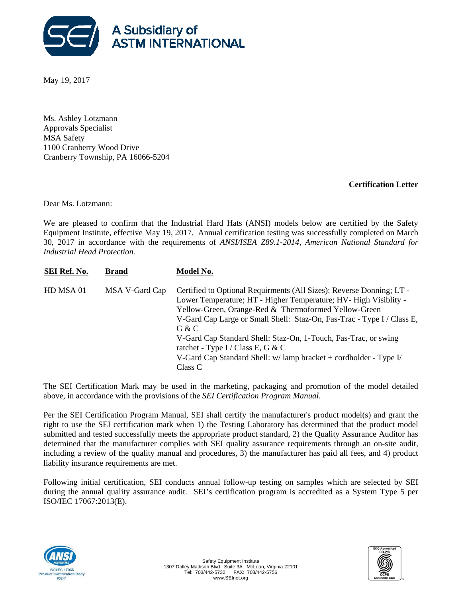

May 19, 2017

Ms. Ashley Lotzmann Approvals Specialist MSA Safety 1100 Cranberry Wood Drive Cranberry Township, PA 16066-5204

## **Certification Letter**

Dear Ms. Lotzmann:

We are pleased to confirm that the Industrial Hard Hats (ANSI) models below are certified by the Safety Equipment Institute, effective May 19, 2017. Annual certification testing was successfully completed on March 30, 2017 in accordance with the requirements of *ANSI/ISEA Z89.1-2014, American National Standard for Industrial Head Protection.*

| <b>SEI Ref. No.</b> | <b>Brand</b>   | Model No.                                                                                                                                                                                                                                                                                                                                                                                                                                                                     |
|---------------------|----------------|-------------------------------------------------------------------------------------------------------------------------------------------------------------------------------------------------------------------------------------------------------------------------------------------------------------------------------------------------------------------------------------------------------------------------------------------------------------------------------|
| HD MSA 01           | MSA V-Gard Cap | Certified to Optional Requirments (All Sizes): Reverse Donning; LT -<br>Lower Temperature; HT - Higher Temperature; HV- High Visiblity -<br>Yellow-Green, Orange-Red & Thermoformed Yellow-Green<br>V-Gard Cap Large or Small Shell: Staz-On, Fas-Trac - Type I / Class E,<br>G & C<br>V-Gard Cap Standard Shell: Staz-On, 1-Touch, Fas-Trac, or swing<br>ratchet - Type I / Class E, G & C<br>V-Gard Cap Standard Shell: $w/$ lamp bracket + cordholder - Type I/<br>Class C |

The SEI Certification Mark may be used in the marketing, packaging and promotion of the model detailed above, in accordance with the provisions of the *SEI Certification Program Manual*.

Per the SEI Certification Program Manual, SEI shall certify the manufacturer's product model(s) and grant the right to use the SEI certification mark when 1) the Testing Laboratory has determined that the product model submitted and tested successfully meets the appropriate product standard, 2) the Quality Assurance Auditor has determined that the manufacturer complies with SEI quality assurance requirements through an on-site audit, including a review of the quality manual and procedures, 3) the manufacturer has paid all fees, and 4) product liability insurance requirements are met.

Following initial certification, SEI conducts annual follow-up testing on samples which are selected by SEI during the annual quality assurance audit. SEI's certification program is accredited as a System Type 5 per ISO/IEC 17067:2013(E).